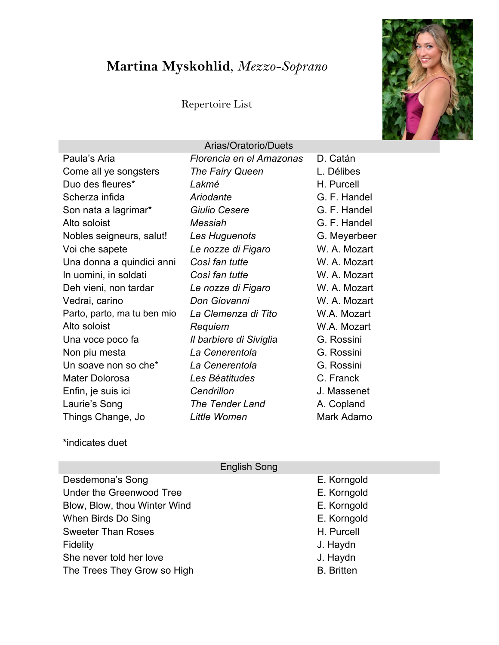# **Martina Myskohlid**, *Mezzo-Soprano*

### Repertoire List



\*indicates duet

|                              | English Song      |
|------------------------------|-------------------|
| Desdemona's Song             | E. Korngold       |
| Under the Greenwood Tree     | E. Korngold       |
| Blow, Blow, thou Winter Wind | E. Korngold       |
| When Birds Do Sing           | E. Korngold       |
| <b>Sweeter Than Roses</b>    | H. Purcell        |
| Fidelity                     | J. Haydn          |
| She never told her love      | J. Haydn          |
| The Trees They Grow so High  | <b>B.</b> Britten |
|                              |                   |

 $E = \frac{1}{2}$ 

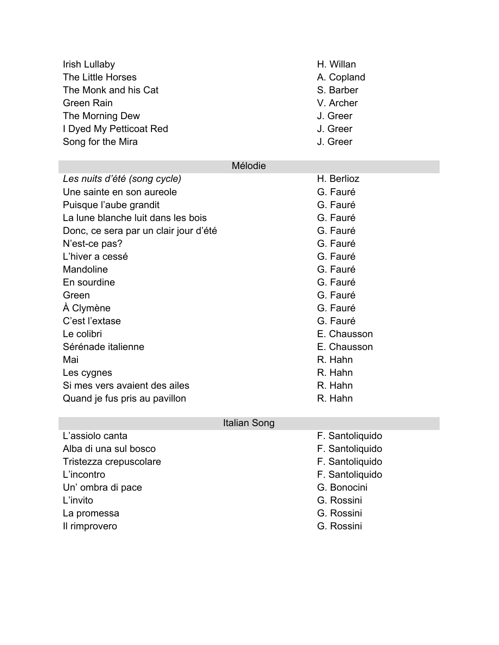| <b>Irish Lullaby</b>                  |         | H. Willan  |
|---------------------------------------|---------|------------|
| The Little Horses                     |         | A. Copland |
| The Monk and his Cat                  |         | S. Barber  |
| <b>Green Rain</b>                     |         | V. Archer  |
| The Morning Dew                       |         | J. Greer   |
| I Dyed My Petticoat Red               |         | J. Greer   |
| Song for the Mira                     |         | J. Greer   |
|                                       |         |            |
|                                       | Mélodie |            |
| Les nuits d'été (song cycle)          |         | H. Berlioz |
| Une sainte en son aureole             |         | G. Fauré   |
| Puisque l'aube grandit                |         | G. Fauré   |
| La lune blanche luit dans les bois    |         | G. Fauré   |
| Donc, ce sera par un clair jour d'été |         | G. Fauré   |
| N'est-ce pas?                         |         | G. Fauré   |
| l 'hiver a cessé                      |         | G Fauré    |

|                                       | Mélodie     |
|---------------------------------------|-------------|
| Les nuits d'été (song cycle)          | H. Berlioz  |
| Une sainte en son aureole             | G. Fauré    |
| Puisque l'aube grandit                | G. Fauré    |
| La lune blanche luit dans les bois    | G. Fauré    |
| Donc, ce sera par un clair jour d'été | G. Fauré    |
| N'est-ce pas?                         | G. Fauré    |
| L'hiver a cessé                       | G. Fauré    |
| Mandoline                             | G. Fauré    |
| En sourdine                           | G. Fauré    |
| Green                                 | G. Fauré    |
| À Clymène                             | G. Fauré    |
| C'est l'extase                        | G. Fauré    |
| Le colibri                            | E. Chausson |
| Sérénade italienne                    | E. Chausson |
| Mai                                   | R. Hahn     |
| Les cygnes                            | R. Hahn     |
| Si mes vers avaient des ailes         | R. Hahn     |
| Quand je fus pris au pavillon         | R. Hahn     |

# Italian Song

| L'assiolo canta        | F. Santoliquido |
|------------------------|-----------------|
| Alba di una sul bosco  | F. Santoliquido |
| Tristezza crepuscolare | F. Santoliquido |
| L'incontro             | F. Santoliquido |
| Un' ombra di pace      | G. Bonocini     |
| L'invito               | G. Rossini      |
| La promessa            | G. Rossini      |
| Il rimprovero          | G. Rossini      |
|                        |                 |